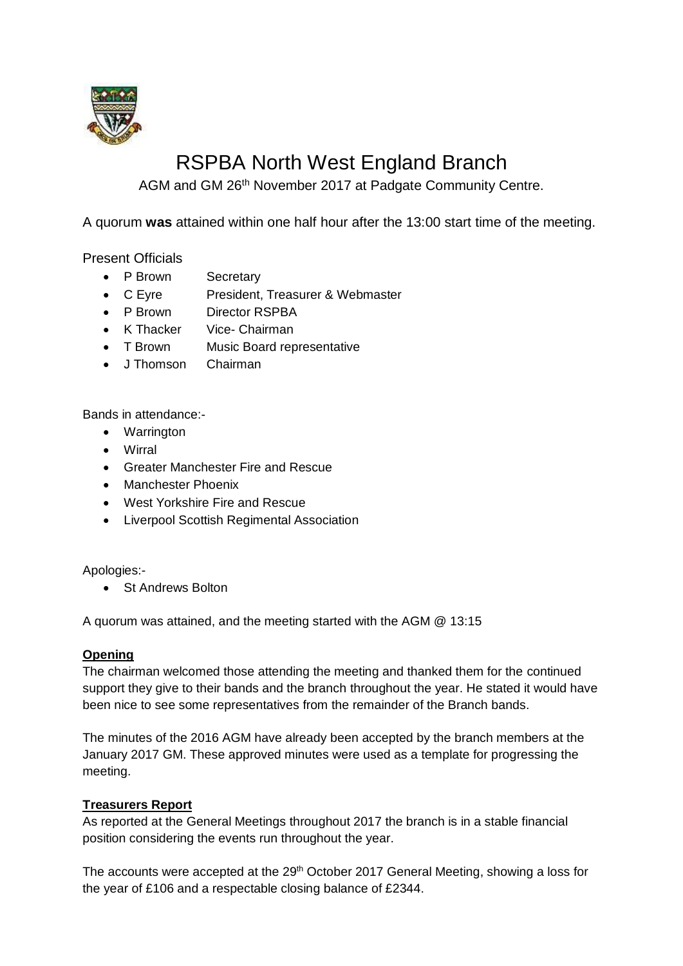

# RSPBA North West England Branch

AGM and GM 26th November 2017 at Padgate Community Centre.

A quorum **was** attained within one half hour after the 13:00 start time of the meeting.

Present Officials

- P Brown Secretary
- C Eyre President, Treasurer & Webmaster
- P Brown Director RSPBA
- K Thacker Vice- Chairman
- T Brown Music Board representative
- J Thomson Chairman

Bands in attendance:-

- Warrington
- Wirral
- Greater Manchester Fire and Rescue
- Manchester Phoenix
- West Yorkshire Fire and Rescue
- Liverpool Scottish Regimental Association

Apologies:-

• St Andrews Bolton

A quorum was attained, and the meeting started with the AGM @ 13:15

## **Opening**

The chairman welcomed those attending the meeting and thanked them for the continued support they give to their bands and the branch throughout the year. He stated it would have been nice to see some representatives from the remainder of the Branch bands.

The minutes of the 2016 AGM have already been accepted by the branch members at the January 2017 GM. These approved minutes were used as a template for progressing the meeting.

## **Treasurers Report**

As reported at the General Meetings throughout 2017 the branch is in a stable financial position considering the events run throughout the year.

The accounts were accepted at the 29<sup>th</sup> October 2017 General Meeting, showing a loss for the year of £106 and a respectable closing balance of £2344.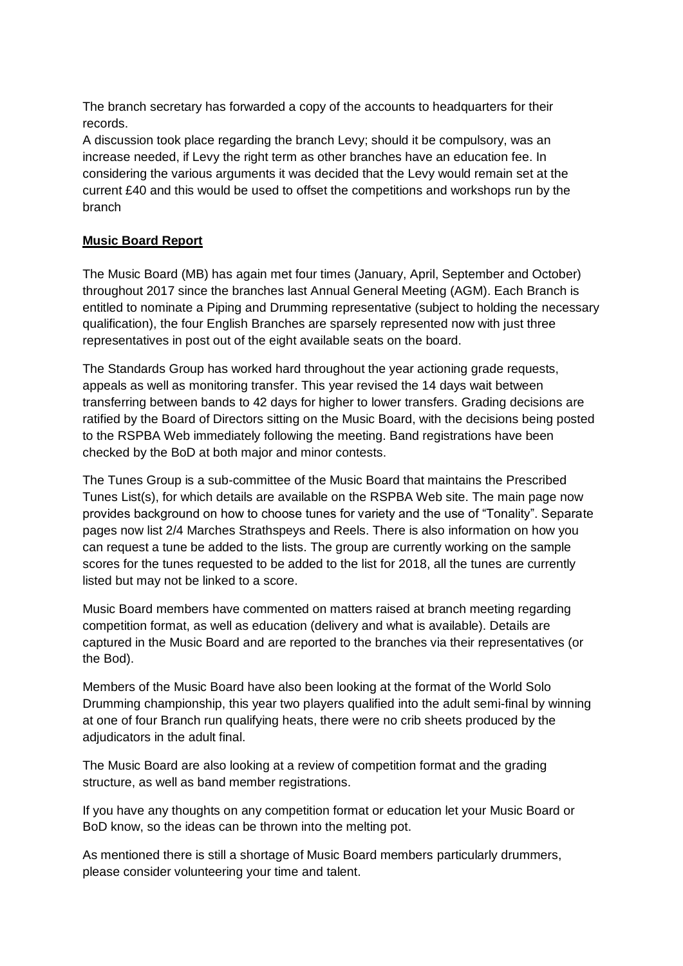The branch secretary has forwarded a copy of the accounts to headquarters for their records.

A discussion took place regarding the branch Levy; should it be compulsory, was an increase needed, if Levy the right term as other branches have an education fee. In considering the various arguments it was decided that the Levy would remain set at the current £40 and this would be used to offset the competitions and workshops run by the branch

# **Music Board Report**

The Music Board (MB) has again met four times (January, April, September and October) throughout 2017 since the branches last Annual General Meeting (AGM). Each Branch is entitled to nominate a Piping and Drumming representative (subject to holding the necessary qualification), the four English Branches are sparsely represented now with just three representatives in post out of the eight available seats on the board.

The Standards Group has worked hard throughout the year actioning grade requests, appeals as well as monitoring transfer. This year revised the 14 days wait between transferring between bands to 42 days for higher to lower transfers. Grading decisions are ratified by the Board of Directors sitting on the Music Board, with the decisions being posted to the RSPBA Web immediately following the meeting. Band registrations have been checked by the BoD at both major and minor contests.

The Tunes Group is a sub-committee of the Music Board that maintains the Prescribed Tunes List(s), for which details are available on the RSPBA Web site. The main page now provides background on how to choose tunes for variety and the use of "Tonality". Separate pages now list 2/4 Marches Strathspeys and Reels. There is also information on how you can request a tune be added to the lists. The group are currently working on the sample scores for the tunes requested to be added to the list for 2018, all the tunes are currently listed but may not be linked to a score.

Music Board members have commented on matters raised at branch meeting regarding competition format, as well as education (delivery and what is available). Details are captured in the Music Board and are reported to the branches via their representatives (or the Bod).

Members of the Music Board have also been looking at the format of the World Solo Drumming championship, this year two players qualified into the adult semi-final by winning at one of four Branch run qualifying heats, there were no crib sheets produced by the adjudicators in the adult final.

The Music Board are also looking at a review of competition format and the grading structure, as well as band member registrations.

If you have any thoughts on any competition format or education let your Music Board or BoD know, so the ideas can be thrown into the melting pot.

As mentioned there is still a shortage of Music Board members particularly drummers, please consider volunteering your time and talent.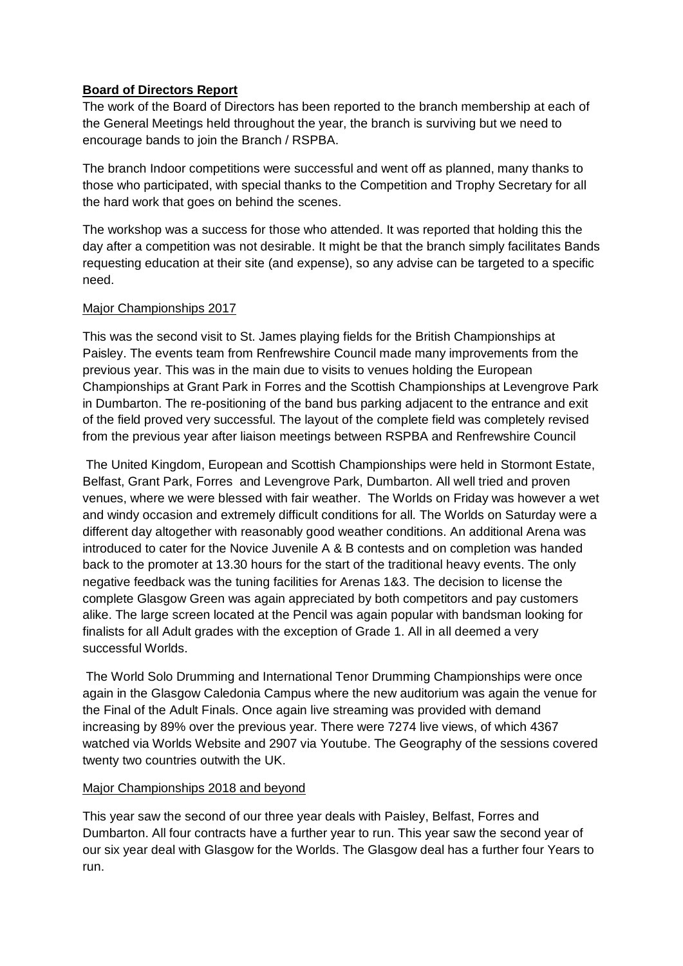# **Board of Directors Report**

The work of the Board of Directors has been reported to the branch membership at each of the General Meetings held throughout the year, the branch is surviving but we need to encourage bands to join the Branch / RSPBA.

The branch Indoor competitions were successful and went off as planned, many thanks to those who participated, with special thanks to the Competition and Trophy Secretary for all the hard work that goes on behind the scenes.

The workshop was a success for those who attended. It was reported that holding this the day after a competition was not desirable. It might be that the branch simply facilitates Bands requesting education at their site (and expense), so any advise can be targeted to a specific need.

# Major Championships 2017

This was the second visit to St. James playing fields for the British Championships at Paisley. The events team from Renfrewshire Council made many improvements from the previous year. This was in the main due to visits to venues holding the European Championships at Grant Park in Forres and the Scottish Championships at Levengrove Park in Dumbarton. The re-positioning of the band bus parking adjacent to the entrance and exit of the field proved very successful. The layout of the complete field was completely revised from the previous year after liaison meetings between RSPBA and Renfrewshire Council

The United Kingdom, European and Scottish Championships were held in Stormont Estate, Belfast, Grant Park, Forres and Levengrove Park, Dumbarton. All well tried and proven venues, where we were blessed with fair weather. The Worlds on Friday was however a wet and windy occasion and extremely difficult conditions for all. The Worlds on Saturday were a different day altogether with reasonably good weather conditions. An additional Arena was introduced to cater for the Novice Juvenile A & B contests and on completion was handed back to the promoter at 13.30 hours for the start of the traditional heavy events. The only negative feedback was the tuning facilities for Arenas 1&3. The decision to license the complete Glasgow Green was again appreciated by both competitors and pay customers alike. The large screen located at the Pencil was again popular with bandsman looking for finalists for all Adult grades with the exception of Grade 1. All in all deemed a very successful Worlds.

The World Solo Drumming and International Tenor Drumming Championships were once again in the Glasgow Caledonia Campus where the new auditorium was again the venue for the Final of the Adult Finals. Once again live streaming was provided with demand increasing by 89% over the previous year. There were 7274 live views, of which 4367 watched via Worlds Website and 2907 via Youtube. The Geography of the sessions covered twenty two countries outwith the UK.

## Major Championships 2018 and beyond

This year saw the second of our three year deals with Paisley, Belfast, Forres and Dumbarton. All four contracts have a further year to run. This year saw the second year of our six year deal with Glasgow for the Worlds. The Glasgow deal has a further four Years to run.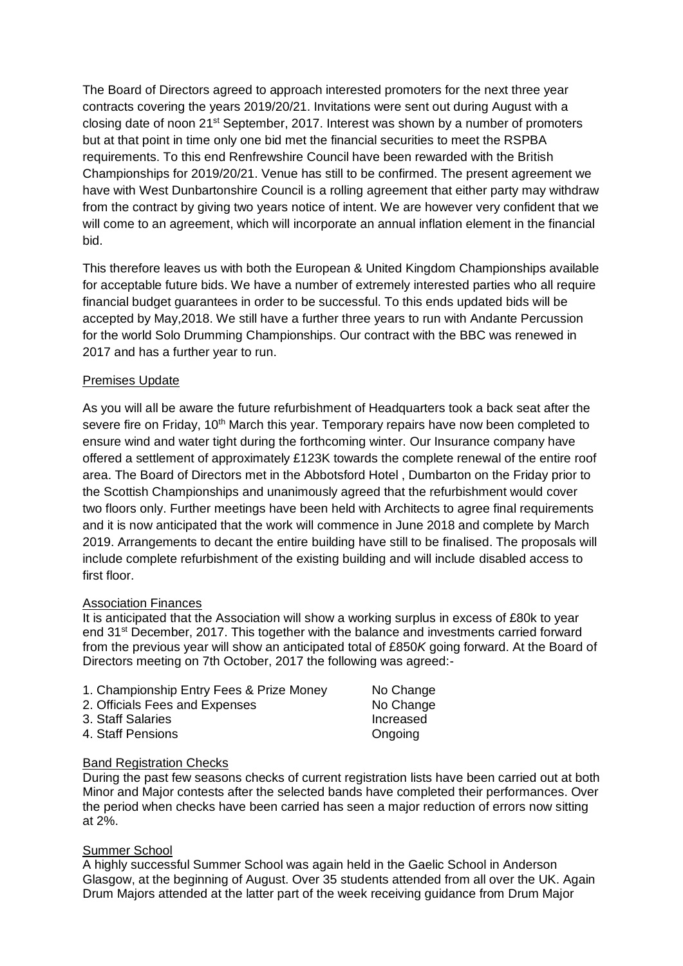The Board of Directors agreed to approach interested promoters for the next three year contracts covering the years 2019/20/21. Invitations were sent out during August with a closing date of noon  $21^{st}$  September, 2017. Interest was shown by a number of promoters but at that point in time only one bid met the financial securities to meet the RSPBA requirements. To this end Renfrewshire Council have been rewarded with the British Championships for 2019/20/21. Venue has still to be confirmed. The present agreement we have with West Dunbartonshire Council is a rolling agreement that either party may withdraw from the contract by giving two years notice of intent. We are however very confident that we will come to an agreement, which will incorporate an annual inflation element in the financial bid.

This therefore leaves us with both the European & United Kingdom Championships available for acceptable future bids. We have a number of extremely interested parties who all require financial budget guarantees in order to be successful. To this ends updated bids will be accepted by May,2018. We still have a further three years to run with Andante Percussion for the world Solo Drumming Championships. Our contract with the BBC was renewed in 2017 and has a further year to run.

## Premises Update

As you will all be aware the future refurbishment of Headquarters took a back seat after the severe fire on Friday, 10<sup>th</sup> March this year. Temporary repairs have now been completed to ensure wind and water tight during the forthcoming winter. Our Insurance company have offered a settlement of approximately £123K towards the complete renewal of the entire roof area. The Board of Directors met in the Abbotsford Hotel , Dumbarton on the Friday prior to the Scottish Championships and unanimously agreed that the refurbishment would cover two floors only. Further meetings have been held with Architects to agree final requirements and it is now anticipated that the work will commence in June 2018 and complete by March 2019. Arrangements to decant the entire building have still to be finalised. The proposals will include complete refurbishment of the existing building and will include disabled access to first floor.

#### Association Finances

It is anticipated that the Association will show a working surplus in excess of £80k to year end 31<sup>st</sup> December, 2017. This together with the balance and investments carried forward from the previous year will show an anticipated total of £850*K* going forward. At the Board of Directors meeting on 7th October, 2017 the following was agreed:-

| 1. Championship Entry Fees & Prize Money | No Change |
|------------------------------------------|-----------|
| 2. Officials Fees and Expenses           | No Change |
| 3. Staff Salaries                        | Increased |
| 4. Staff Pensions                        | Ongoing   |

#### Band Registration Checks

During the past few seasons checks of current registration lists have been carried out at both Minor and Major contests after the selected bands have completed their performances. Over the period when checks have been carried has seen a major reduction of errors now sitting at 2%.

## Summer School

A highly successful Summer School was again held in the Gaelic School in Anderson Glasgow, at the beginning of August. Over 35 students attended from all over the UK. Again Drum Majors attended at the latter part of the week receiving guidance from Drum Major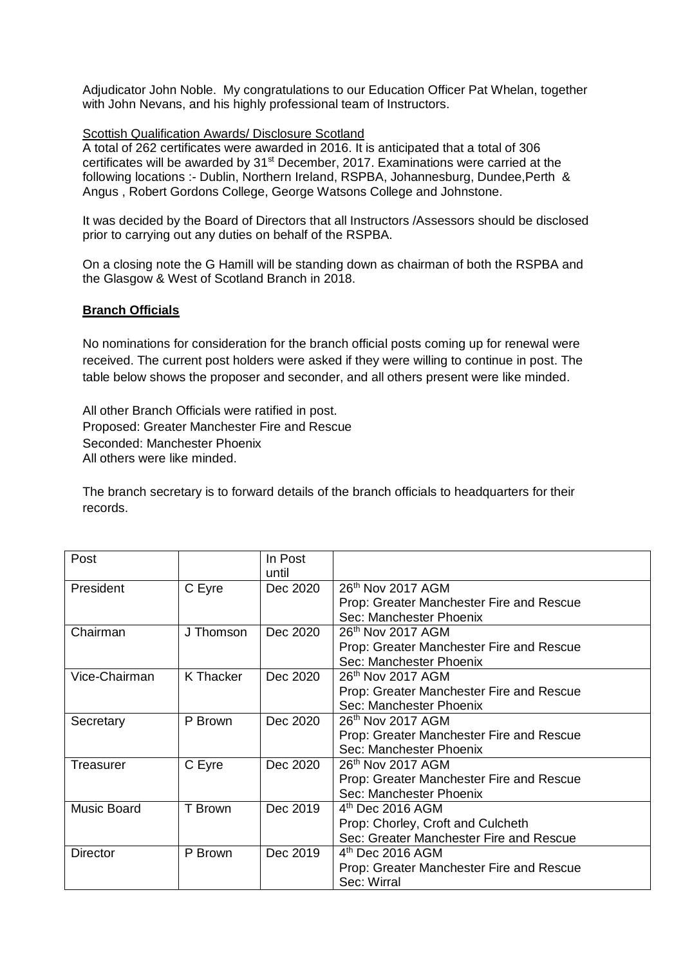Adjudicator John Noble. My congratulations to our Education Officer Pat Whelan, together with John Nevans, and his highly professional team of Instructors.

#### Scottish Qualification Awards/ Disclosure Scotland

A total of 262 certificates were awarded in 2016. It is anticipated that a total of 306 certificates will be awarded by 31<sup>st</sup> December, 2017. Examinations were carried at the following locations :- Dublin, Northern Ireland, RSPBA, Johannesburg, Dundee,Perth & Angus , Robert Gordons College, George Watsons College and Johnstone.

It was decided by the Board of Directors that all Instructors /Assessors should be disclosed prior to carrying out any duties on behalf of the RSPBA.

On a closing note the G Hamill will be standing down as chairman of both the RSPBA and the Glasgow & West of Scotland Branch in 2018.

#### **Branch Officials**

No nominations for consideration for the branch official posts coming up for renewal were received. The current post holders were asked if they were willing to continue in post. The table below shows the proposer and seconder, and all others present were like minded.

All other Branch Officials were ratified in post. Proposed: Greater Manchester Fire and Rescue Seconded: Manchester Phoenix All others were like minded.

The branch secretary is to forward details of the branch officials to headquarters for their records.

| Post               |                  | In Post<br>until |                                          |
|--------------------|------------------|------------------|------------------------------------------|
| President          | C Eyre           | Dec 2020         | 26 <sup>th</sup> Nov 2017 AGM            |
|                    |                  |                  | Prop: Greater Manchester Fire and Rescue |
|                    |                  |                  | Sec: Manchester Phoenix                  |
| Chairman           | J Thomson        | Dec 2020         | 26 <sup>th</sup> Nov 2017 AGM            |
|                    |                  |                  | Prop: Greater Manchester Fire and Rescue |
|                    |                  |                  | Sec: Manchester Phoenix                  |
| Vice-Chairman      | <b>K</b> Thacker | Dec 2020         | 26 <sup>th</sup> Nov 2017 AGM            |
|                    |                  |                  | Prop: Greater Manchester Fire and Rescue |
|                    |                  |                  | Sec: Manchester Phoenix                  |
| Secretary          | P Brown          | Dec 2020         | 26th Nov 2017 AGM                        |
|                    |                  |                  | Prop: Greater Manchester Fire and Rescue |
|                    |                  |                  | Sec: Manchester Phoenix                  |
| Treasurer          | C Eyre           | Dec 2020         | 26 <sup>th</sup> Nov 2017 AGM            |
|                    |                  |                  | Prop: Greater Manchester Fire and Rescue |
|                    |                  |                  | Sec: Manchester Phoenix                  |
| <b>Music Board</b> | T Brown          | Dec 2019         | 4 <sup>th</sup> Dec 2016 AGM             |
|                    |                  |                  | Prop: Chorley, Croft and Culcheth        |
|                    |                  |                  | Sec: Greater Manchester Fire and Rescue  |
| <b>Director</b>    | P Brown          | Dec 2019         | $4th$ Dec 2016 AGM                       |
|                    |                  |                  | Prop: Greater Manchester Fire and Rescue |
|                    |                  |                  | Sec: Wirral                              |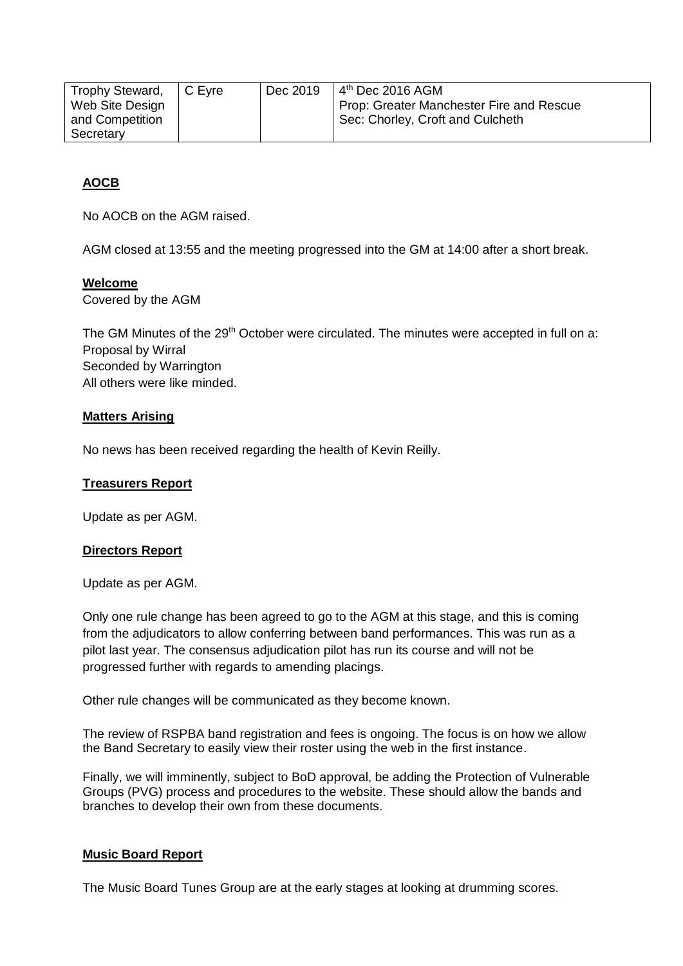| Trophy Steward, | C Evre | Dec 2019 | $4th$ Dec 2016 AGM                            |
|-----------------|--------|----------|-----------------------------------------------|
| Web Site Design |        |          | Prop: Greater Manchester Fire and Rescue      |
| and Competition |        |          | <sup>1</sup> Sec: Chorley, Croft and Culcheth |
| Secretary       |        |          |                                               |

# **AOCB**

No AOCB on the AGM raised.

AGM closed at 13:55 and the meeting progressed into the GM at 14:00 after a short break.

## **Welcome**

Covered by the AGM

The GM Minutes of the  $29<sup>th</sup>$  October were circulated. The minutes were accepted in full on a: Proposal by Wirral Seconded by Warrington All others were like minded.

# **Matters Arising**

No news has been received regarding the health of Kevin Reilly.

## **Treasurers Report**

Update as per AGM.

## **Directors Report**

Update as per AGM.

Only one rule change has been agreed to go to the AGM at this stage, and this is coming from the adjudicators to allow conferring between band performances. This was run as a pilot last year. The consensus adjudication pilot has run its course and will not be progressed further with regards to amending placings.

Other rule changes will be communicated as they become known.

The review of RSPBA band registration and fees is ongoing. The focus is on how we allow the Band Secretary to easily view their roster using the web in the first instance.

Finally, we will imminently, subject to BoD approval, be adding the Protection of Vulnerable Groups (PVG) process and procedures to the website. These should allow the bands and branches to develop their own from these documents.

## **Music Board Report**

The Music Board Tunes Group are at the early stages at looking at drumming scores.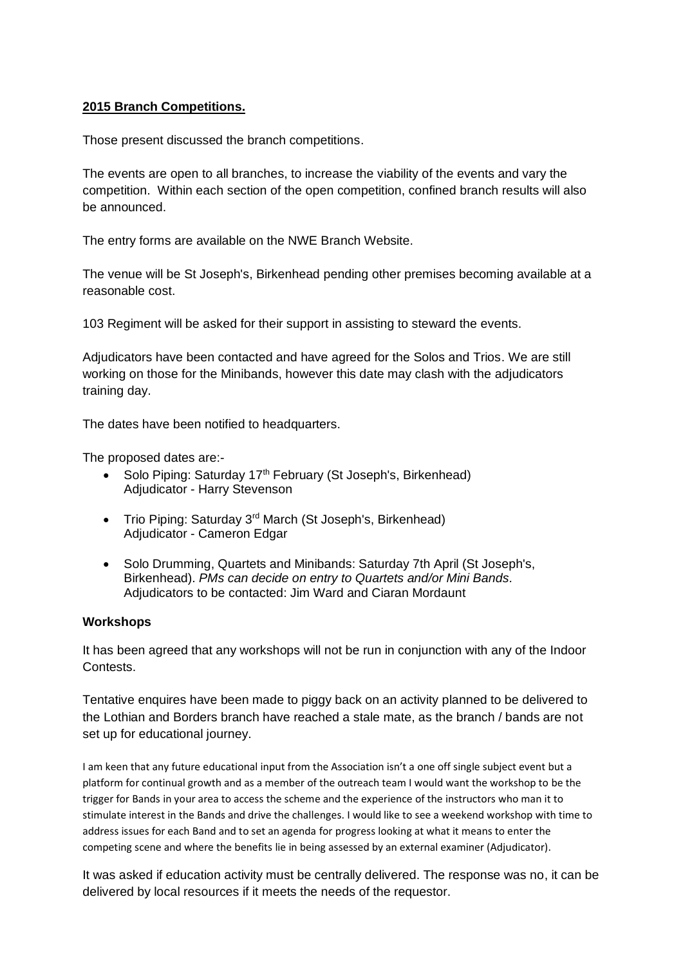# **2015 Branch Competitions.**

Those present discussed the branch competitions.

The events are open to all branches, to increase the viability of the events and vary the competition. Within each section of the open competition, confined branch results will also be announced.

The entry forms are available on the NWE Branch Website.

The venue will be St Joseph's, Birkenhead pending other premises becoming available at a reasonable cost.

103 Regiment will be asked for their support in assisting to steward the events.

Adjudicators have been contacted and have agreed for the Solos and Trios. We are still working on those for the Minibands, however this date may clash with the adjudicators training day.

The dates have been notified to headquarters.

The proposed dates are:-

- Solo Piping: Saturday 17<sup>th</sup> February (St Joseph's, Birkenhead) Adjudicator - Harry Stevenson
- Trio Piping: Saturday 3<sup>rd</sup> March (St Joseph's, Birkenhead) Adjudicator - Cameron Edgar
- Solo Drumming, Quartets and Minibands: Saturday 7th April (St Joseph's, Birkenhead). *PMs can decide on entry to Quartets and/or Mini Bands.* Adjudicators to be contacted: Jim Ward and Ciaran Mordaunt

## **Workshops**

It has been agreed that any workshops will not be run in conjunction with any of the Indoor Contests.

Tentative enquires have been made to piggy back on an activity planned to be delivered to the Lothian and Borders branch have reached a stale mate, as the branch / bands are not set up for educational journey.

I am keen that any future educational input from the Association isn't a one off single subject event but a platform for continual growth and as a member of the outreach team I would want the workshop to be the trigger for Bands in your area to access the scheme and the experience of the instructors who man it to stimulate interest in the Bands and drive the challenges. I would like to see a weekend workshop with time to address issues for each Band and to set an agenda for progress looking at what it means to enter the competing scene and where the benefits lie in being assessed by an external examiner (Adjudicator).

It was asked if education activity must be centrally delivered. The response was no, it can be delivered by local resources if it meets the needs of the requestor.